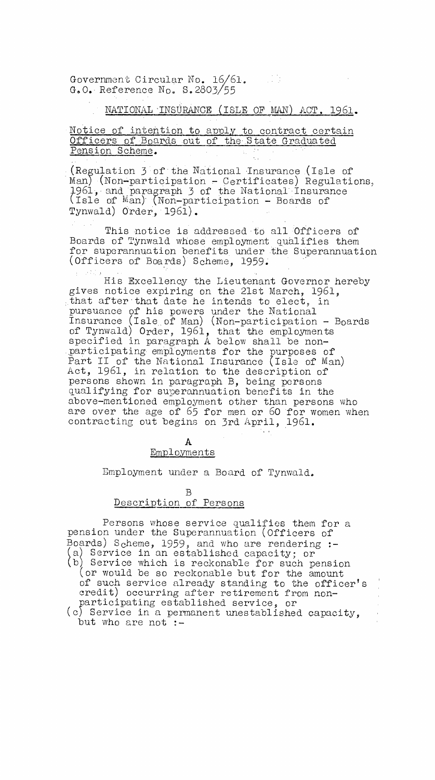Government Circular No. 16/61. G.O. Reference  $N_0$ . S.2803/55

NATIONAL INSURANCE (ISLE OF MAN) ACT, 1961.

Notice of intention to apply to contract certain Officers of Boards out of the State Graduated Pension Scheme.

(Regulation 3 of the National insurance .(Isle of Man) (Non-participation - Certificates) Regulations, 1961, and paragraph 3 of the National Insurance (Isle of Man)' (Non-participation - Boards of Tynwald) Order, 1961).

This notice is addressed to all Officers of Boards of Tynwald whose employment qualifies them for superannuation benefits under the Superannuation (Officers of Boards) Scheme, 1959.

His Excellency the Lieutenant Governor hereby gives notice expiring on the 21st March, 1961, that after that date he intends to elect, pursuance of his powers under the National Insurance (Isle., of Man) (Non-participation - Boards of Tynwald) Order, 1961, that the employments specified in paragraph A below shall be nonparticipating employments for the purposes of Part II of the National Insurance (Isle of Man) Act, 1961, in relation to the description of persons shown in paragraph B, being persons qualifying for superannuation benefits in the above-mentioned employment other than persons who are over the age of 65 for men or 60 for women when contracting out begins on 3rd April, 1961.

> A Employments

Employment under a Board of Tynwald.

B Description of Persons

Persons whose service qualifies them for a pension under the Superannuation (Officers of Boards) Scheme, 1959, and who are rendering :-(a) Service in an established capacity; or b) Service which is reckonable for such pension (or would be so reckonable but for the amount of such service already standing to the officer's credit) occurring after retirement from nonparticipating established service, or (c) Service in a permanent unestablished capacity, but who are not :-